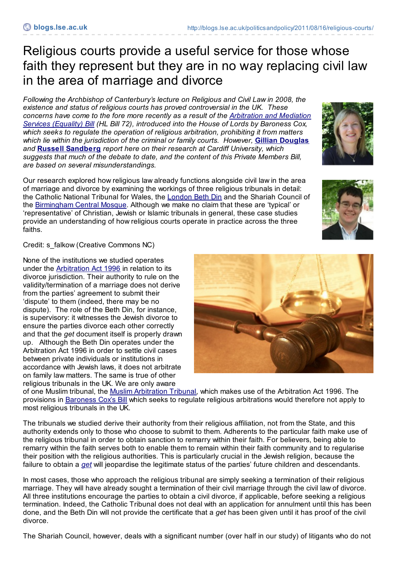## Religious courts provide a useful service for those whose faith they represent but they are in no way replacing civil law in the area of marriage and divorce

*Following the Archbishop of Canterbury's lecture on Religious and Civil Law in 2008, the existence and status of religious courts has proved controversial in the UK. These concerns have come to the fore more recently as a result of the [Arbitration](http://www.publications.parliament.uk/pa/bills/lbill/2010-2012/0072/2012072.pdf) and Mediation Services (Equality) Bill (HL Bill 72), introduced into the House of Lords by Baroness Cox, which seeks to regulate the operation of religious arbitration, prohibiting it from matters which lie within the jurisdiction of the criminal or family courts. However,* **Gillian [Douglas](http://blogs.lse.ac.uk/politicsandpolicy/contributors/#Gillian_Douglas)** *and* **Russell [Sandberg](http://blogs.lse.ac.uk/politicsandpolicy/contributors/#Russell_Sandberg)** *report here on their research at Cardiff University, which suggests that much of the debate to date, and the content of this Private Members Bill, are based on several misunderstandings.*

Our research explored how religious law already functions alongside civil law in the area of marriage and divorce by examining the workings of three religious tribunals in detail: the Catholic National Tribunal for Wales, the [London](http://www.theus.org.uk/the_united_synagogue/the_london_beth_din/about_us/) Beth Din and the Shariah Council of the [Birmingham](http://centralmosque.org.uk/) Central Mosque. Although we make no claim that these are 'typical' or 'representative' of Christian, Jewish or Islamic tribunals in general, these case studies provide an understanding of how religious courts operate in practice across the three faiths.

Credit: s\_falkow (Creative Commons NC)

None of the institutions we studied operates under the [Arbitration](http://www.legislation.gov.uk/ukpga/1996/23/contents) Act 1996 in relation to its divorce jurisdiction. Their authority to rule on the validity/termination of a marriage does not derive from the parties' agreement to submit their 'dispute' to them (indeed, there may be no dispute). The role of the Beth Din, for instance, is supervisory: it witnesses the Jewish divorce to ensure the parties divorce each other correctly and that the *get* document itself is properly drawn up. Although the Beth Din operates under the Arbitration Act 1996 in order to settle civil cases between private individuals or institutions in accordance with Jewish laws, it does not arbitrate on family law matters. The same is true of other religious tribunals in the UK. We are only aware

of one Muslim tribunal, the Muslim [Arbitration](http://www.matribunal.com/) Tribunal, which makes use of the Arbitration Act 1996. The provisions in [Baroness](http://services.parliament.uk/bills/2010-11/arbitrationandmediationservicesequalityhl.html) Cox's Bill which seeks to regulate religious arbitrations would therefore not apply to most religious tribunals in the UK.

The tribunals we studied derive their authority from their religious affiliation, not from the State, and this authority extends only to those who choose to submit to them. Adherents to the particular faith make use of the religious tribunal in order to obtain sanction to remarry within their faith. For believers, being able to remarry within the faith serves both to enable them to remain within their faith community and to regularise their position with the religious authorities. This is particularly crucial in the Jewish religion, because the failure to obtain a *[get](http://en.wikipedia.org/wiki/Get_(divorce_document))* will jeopardise the legitimate status of the parties' future children and descendants.

In most cases, those who approach the religious tribunal are simply seeking a termination of their religious marriage. They will have already sought a termination of their civil marriage through the civil law of divorce. All three institutions encourage the parties to obtain a civil divorce, if applicable, before seeking a religious termination. Indeed, the Catholic Tribunal does not deal with an application for annulment until this has been done, and the Beth Din will not provide the certificate that a *get* has been given until it has proof of the civil divorce.

The Shariah Council, however, deals with a significant number (over half in our study) of litigants who do not